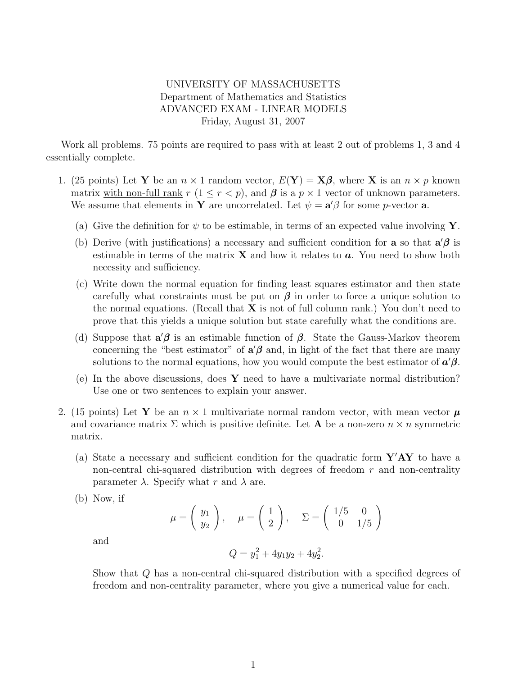## UNIVERSITY OF MASSACHUSETTS Department of Mathematics and Statistics ADVANCED EXAM - LINEAR MODELS Friday, August 31, 2007

Work all problems. 75 points are required to pass with at least 2 out of problems 1, 3 and 4 essentially complete.

- 1. (25 points) Let Y be an  $n \times 1$  random vector,  $E(Y) = X\beta$ , where X is an  $n \times p$  known matrix with non-full rank  $r (1 \le r \le p)$ , and  $\beta$  is a  $p \times 1$  vector of unknown parameters. We assume that elements in Y are uncorrelated. Let  $\psi = \mathbf{a}'\beta$  for some *p*-vector **a**.
	- (a) Give the definition for  $\psi$  to be estimable, in terms of an expected value involving Y.
	- (b) Derive (with justifications) a necessary and sufficient condition for **a** so that  $a'\beta$  is estimable in terms of the matrix  $X$  and how it relates to  $a$ . You need to show both necessity and sufficiency.
	- (c) Write down the normal equation for finding least squares estimator and then state carefully what constraints must be put on  $\beta$  in order to force a unique solution to the normal equations. (Recall that  $X$  is not of full column rank.) You don't need to prove that this yields a unique solution but state carefully what the conditions are.
	- (d) Suppose that  $a'\beta$  is an estimable function of  $\beta$ . State the Gauss-Markov theorem concerning the "best estimator" of  $a'\beta$  and, in light of the fact that there are many solutions to the normal equations, how you would compute the best estimator of  $a'\beta$ .
	- (e) In the above discussions, does  $\bf{Y}$  need to have a multivariate normal distribution? Use one or two sentences to explain your answer.
- 2. (15 points) Let Y be an  $n \times 1$  multivariate normal random vector, with mean vector  $\mu$ and covariance matrix  $\Sigma$  which is positive definite. Let **A** be a non-zero  $n \times n$  symmetric matrix.
	- (a) State a necessary and sufficient condition for the quadratic form  $\mathbf{Y'AY}$  to have a non-central chi-squared distribution with degrees of freedom r and non-centrality parameter  $\lambda$ . Specify what r and  $\lambda$  are.
	- (b) Now, if

$$
\mu = \begin{pmatrix} y_1 \\ y_2 \end{pmatrix}, \quad \mu = \begin{pmatrix} 1 \\ 2 \end{pmatrix}, \quad \Sigma = \begin{pmatrix} 1/5 & 0 \\ 0 & 1/5 \end{pmatrix}
$$

and

$$
Q = y_1^2 + 4y_1y_2 + 4y_2^2.
$$

Show that Q has a non-central chi-squared distribution with a specified degrees of freedom and non-centrality parameter, where you give a numerical value for each.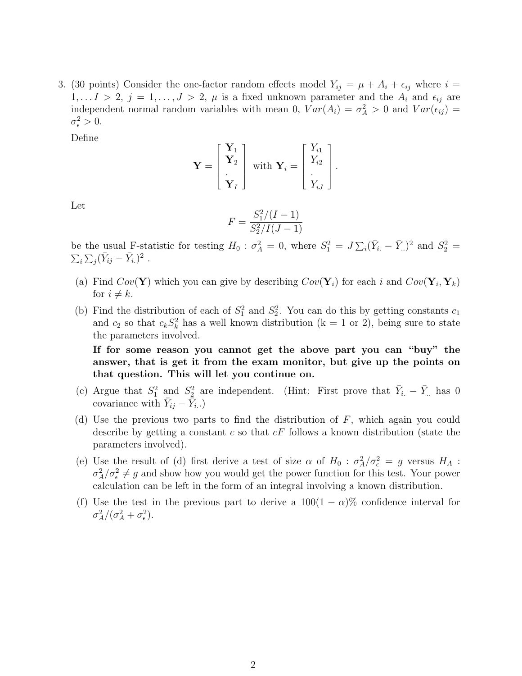3. (30 points) Consider the one-factor random effects model  $Y_{ij} = \mu + A_i + \epsilon_{ij}$  where  $i =$  $1, \ldots I > 2, j = 1, \ldots, J > 2, \mu$  is a fixed unknown parameter and the  $A_i$  and  $\epsilon_{ij}$  are independent normal random variables with mean 0,  $Var(A_i) = \sigma_A^2 > 0$  and  $Var(\epsilon_{ij}) =$  $\sigma_{\epsilon}^2 > 0.$ 

Define

$$
\mathbf{Y} = \begin{bmatrix} \mathbf{Y}_1 \\ \mathbf{Y}_2 \\ \vdots \\ \mathbf{Y}_I \end{bmatrix} \text{ with } \mathbf{Y}_i = \begin{bmatrix} Y_{i1} \\ Y_{i2} \\ \vdots \\ Y_{iJ} \end{bmatrix}.
$$

Let

$$
F = \frac{S_1^2/(I-1)}{S_2^2/I(J-1)}
$$

be the usual F-statistic for testing  $H_0$ :  $\sigma_A^2 = 0$ , where  $S_1^2 = J \sum_i (\bar{Y}_{i.} - \bar{Y}_{..})^2$  and  $S_2^2 =$  $\sum_i \sum_j (\bar{Y}_{ij} - \bar{Y}_{i.})^2$ .

- (a) Find  $Cov(\mathbf{Y})$  which you can give by describing  $Cov(\mathbf{Y}_i)$  for each i and  $Cov(\mathbf{Y}_i, \mathbf{Y}_k)$ for  $i \neq k$ .
- (b) Find the distribution of each of  $S_1^2$  and  $S_2^2$ . You can do this by getting constants  $c_1$ and  $c_2$  so that  $c_k S_k^2$  has a well known distribution (k = 1 or 2), being sure to state the parameters involved.

If for some reason you cannot get the above part you can "buy" the answer, that is get it from the exam monitor, but give up the points on that question. This will let you continue on.

- (c) Argue that  $S_1^2$  and  $S_2^2$  are independent. (Hint: First prove that  $\bar{Y}_{i.} \bar{Y}_{..}$  has 0 covariance with  $\bar{Y}_{ij} - \bar{\bar{Y}}_{i.}$ .)
- (d) Use the previous two parts to find the distribution of  $F$ , which again you could describe by getting a constant c so that  $cF$  follows a known distribution (state the parameters involved).
- (e) Use the result of (d) first derive a test of size  $\alpha$  of  $H_0$ :  $\sigma_A^2/\sigma_{\epsilon}^2 = g$  versus  $H_A$ :  $\sigma_A^2/\sigma_{\epsilon}^2 \neq g$  and show how you would get the power function for this test. Your power calculation can be left in the form of an integral involving a known distribution.
- (f) Use the test in the previous part to derive a  $100(1 \alpha)\%$  confidence interval for  $\sigma_A^2/(\sigma_A^2+\sigma_\epsilon^2).$